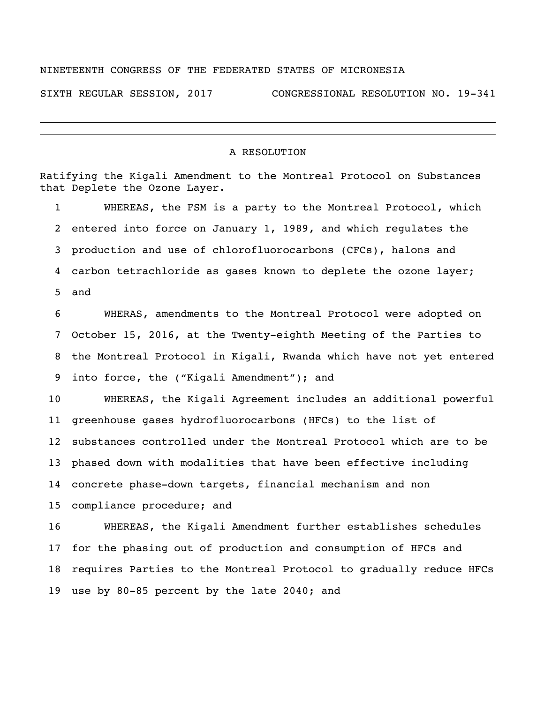## NINETEENTH CONGRESS OF THE FEDERATED STATES OF MICRONESIA

SIXTH REGULAR SESSION, 2017 CONGRESSIONAL RESOLUTION NO. 19-341

## A RESOLUTION

Ratifying the Kigali Amendment to the Montreal Protocol on Substances that Deplete the Ozone Layer. WHEREAS, the FSM is a party to the Montreal Protocol, which entered into force on January 1, 1989, and which regulates the production and use of chlorofluorocarbons (CFCs), halons and carbon tetrachloride as gases known to deplete the ozone layer; and WHERAS, amendments to the Montreal Protocol were adopted on October 15, 2016, at the Twenty-eighth Meeting of the Parties to the Montreal Protocol in Kigali, Rwanda which have not yet entered into force, the ("Kigali Amendment"); and WHEREAS, the Kigali Agreement includes an additional powerful greenhouse gases hydrofluorocarbons (HFCs) to the list of substances controlled under the Montreal Protocol which are to be phased down with modalities that have been effective including concrete phase-down targets, financial mechanism and non compliance procedure; and WHEREAS, the Kigali Amendment further establishes schedules for the phasing out of production and consumption of HFCs and requires Parties to the Montreal Protocol to gradually reduce HFCs use by 80-85 percent by the late 2040; and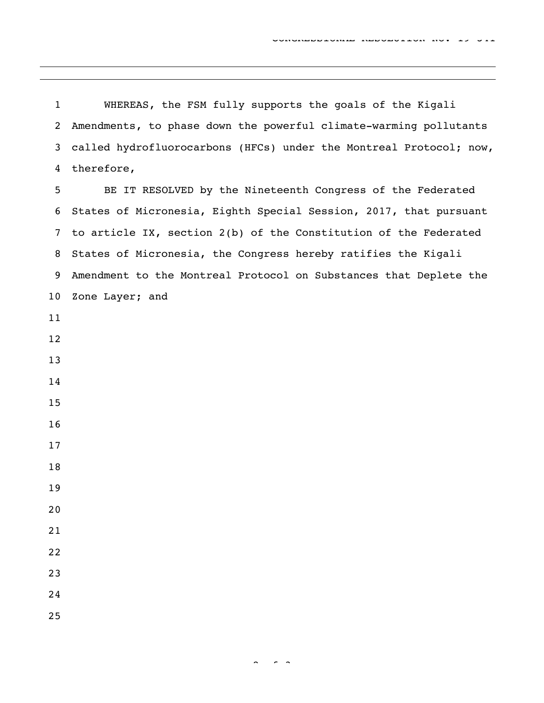WHEREAS, the FSM fully supports the goals of the Kigali Amendments, to phase down the powerful climate-warming pollutants called hydrofluorocarbons (HFCs) under the Montreal Protocol; now, therefore,

 BE IT RESOLVED by the Nineteenth Congress of the Federated States of Micronesia, Eighth Special Session, 2017, that pursuant to article IX, section 2(b) of the Constitution of the Federated States of Micronesia, the Congress hereby ratifies the Kigali Amendment to the Montreal Protocol on Substances that Deplete the Zone Layer; and

- 
-